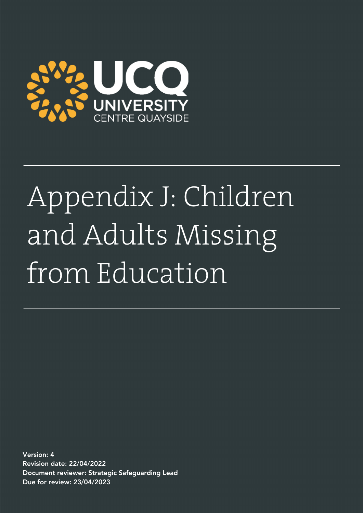

# Appendix J: Children and Adults Missing from Education

Version: 4 Revision date: 22/04/2022 Document reviewer: Strategic Safeguarding Lead Due for review: 23/04/2023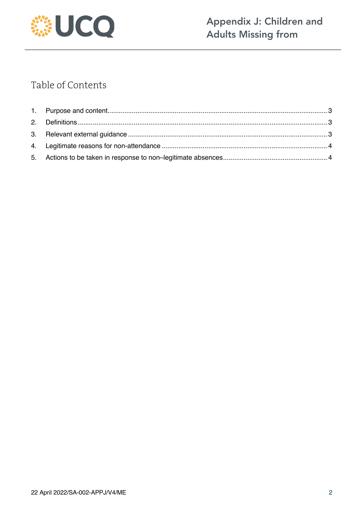

## Table of Contents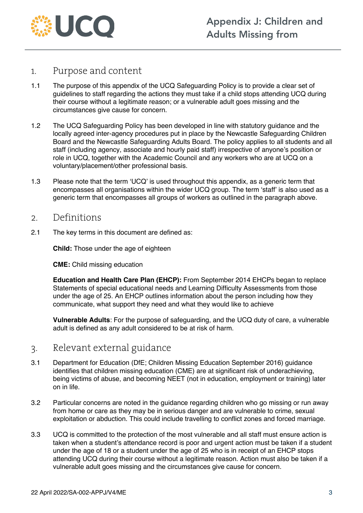

#### 1. Purpose and content

- 1.1 The purpose of this appendix of the UCQ Safeguarding Policy is to provide a clear set of guidelines to staff regarding the actions they must take if a child stops attending UCQ during their course without a legitimate reason; or a vulnerable adult goes missing and the circumstances give cause for concern.
- 1.2 The UCQ Safeguarding Policy has been developed in line with statutory guidance and the locally agreed inter-agency procedures put in place by the Newcastle Safeguarding Children Board and the Newcastle Safeguarding Adults Board. The policy applies to all students and all staff (including agency, associate and hourly paid staff) irrespective of anyone's position or role in UCQ, together with the Academic Council and any workers who are at UCQ on a voluntary/placement/other professional basis.
- 1.3 Please note that the term 'UCQ' is used throughout this appendix, as a generic term that encompasses all organisations within the wider UCQ group. The term 'staff' is also used as a generic term that encompasses all groups of workers as outlined in the paragraph above.

#### 2. Definitions

2.1 The key terms in this document are defined as:

**Child:** Those under the age of eighteen

**CME:** Child missing education

**Education and Health Care Plan (EHCP):** From September 2014 EHCPs began to replace Statements of special educational needs and Learning Difficulty Assessments from those under the age of 25. An EHCP outlines information about the person including how they communicate, what support they need and what they would like to achieve

**Vulnerable Adults**: For the purpose of safeguarding, and the UCQ duty of care, a vulnerable adult is defined as any adult considered to be at risk of harm.

#### 3. Relevant external guidance

- 3.1 Department for Education (DfE; Children Missing Education September 2016) guidance identifies that children missing education (CME) are at significant risk of underachieving, being victims of abuse, and becoming NEET (not in education, employment or training) later on in life.
- 3.2 Particular concerns are noted in the guidance regarding children who go missing or run away from home or care as they may be in serious danger and are vulnerable to crime, sexual exploitation or abduction. This could include travelling to conflict zones and forced marriage.
- 3.3 UCQ is committed to the protection of the most vulnerable and all staff must ensure action is taken when a student's attendance record is poor and urgent action must be taken if a student under the age of 18 or a student under the age of 25 who is in receipt of an EHCP stops attending UCQ during their course without a legitimate reason. Action must also be taken if a vulnerable adult goes missing and the circumstances give cause for concern.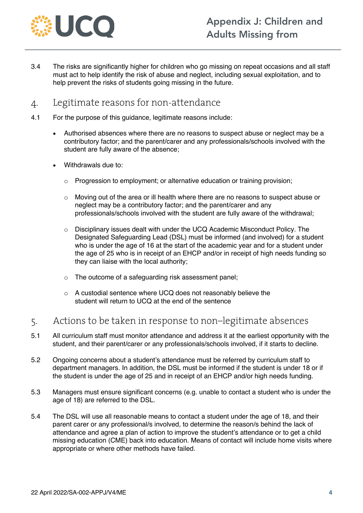

3.4 The risks are significantly higher for children who go missing on repeat occasions and all staff must act to help identify the risk of abuse and neglect, including sexual exploitation, and to help prevent the risks of students going missing in the future.

### 4. Legitimate reasons for non-attendance

- 4.1 For the purpose of this guidance, legitimate reasons include:
	- Authorised absences where there are no reasons to suspect abuse or neglect may be a contributory factor; and the parent/carer and any professionals/schools involved with the student are fully aware of the absence;
	- Withdrawals due to:
		- $\circ$  Progression to employment; or alternative education or training provision;
		- o Moving out of the area or ill health where there are no reasons to suspect abuse or neglect may be a contributory factor; and the parent/carer and any professionals/schools involved with the student are fully aware of the withdrawal;
		- o Disciplinary issues dealt with under the UCQ Academic Misconduct Policy. The Designated Safeguarding Lead (DSL) must be informed (and involved) for a student who is under the age of 16 at the start of the academic year and for a student under the age of 25 who is in receipt of an EHCP and/or in receipt of high needs funding so they can liaise with the local authority;
		- o The outcome of a safeguarding risk assessment panel;
		- o A custodial sentence where UCQ does not reasonably believe the student will return to UCQ at the end of the sentence

#### 5. Actions to be taken in response to non–legitimate absences

- 5.1 All curriculum staff must monitor attendance and address it at the earliest opportunity with the student, and their parent/carer or any professionals/schools involved, if it starts to decline.
- 5.2 Ongoing concerns about a student's attendance must be referred by curriculum staff to department managers. In addition, the DSL must be informed if the student is under 18 or if the student is under the age of 25 and in receipt of an EHCP and/or high needs funding.
- 5.3 Managers must ensure significant concerns (e.g. unable to contact a student who is under the age of 18) are referred to the DSL.
- 5.4 The DSL will use all reasonable means to contact a student under the age of 18, and their parent carer or any professional/s involved, to determine the reason/s behind the lack of attendance and agree a plan of action to improve the student's attendance or to get a child missing education (CME) back into education. Means of contact will include home visits where appropriate or where other methods have failed.